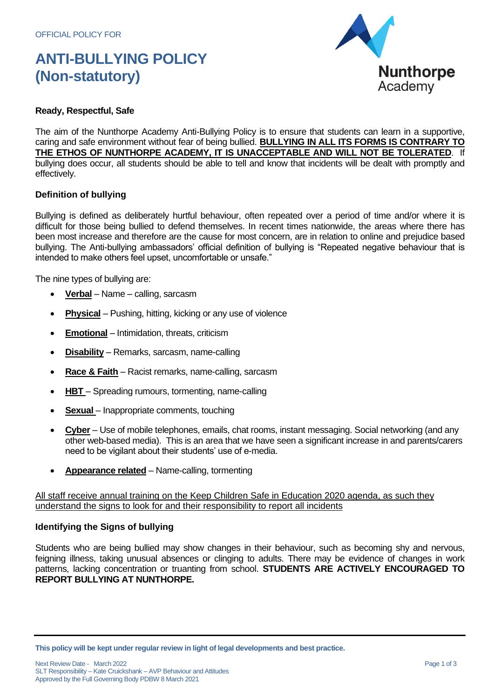# **ANTI-BULLYING POLICY (Non-statutory)**



## **Ready, Respectful, Safe**

The aim of the Nunthorpe Academy Anti-Bullying Policy is to ensure that students can learn in a supportive, caring and safe environment without fear of being bullied. **BULLYING IN ALL ITS FORMS IS CONTRARY TO THE ETHOS OF NUNTHORPE ACADEMY, IT IS UNACCEPTABLE AND WILL NOT BE TOLERATED**. If bullying does occur, all students should be able to tell and know that incidents will be dealt with promptly and effectively.

#### **Definition of bullying**

Bullying is defined as deliberately hurtful behaviour, often repeated over a period of time and/or where it is difficult for those being bullied to defend themselves. In recent times nationwide, the areas where there has been most increase and therefore are the cause for most concern, are in relation to online and prejudice based bullying. The Anti-bullying ambassadors' official definition of bullying is "Repeated negative behaviour that is intended to make others feel upset, uncomfortable or unsafe."

The nine types of bullying are:

- **Verbal** Name calling, sarcasm
- **Physical** Pushing, hitting, kicking or any use of violence
- **Emotional** Intimidation, threats, criticism
- **Disability** Remarks, sarcasm, name-calling
- **Race & Faith** Racist remarks, name-calling, sarcasm
- **HBT**  Spreading rumours, tormenting, name-calling
- **Sexual** Inappropriate comments, touching
- **Cyber** Use of mobile telephones, emails, chat rooms, instant messaging. Social networking (and any other web-based media). This is an area that we have seen a significant increase in and parents/carers need to be vigilant about their students' use of e-media.
- **Appearance related** Name-calling, tormenting

All staff receive annual training on the Keep Children Safe in Education 2020 agenda, as such thev understand the signs to look for and their responsibility to report all incidents

#### **Identifying the Signs of bullying**

Students who are being bullied may show changes in their behaviour, such as becoming shy and nervous, feigning illness, taking unusual absences or clinging to adults. There may be evidence of changes in work patterns, lacking concentration or truanting from school. **STUDENTS ARE ACTIVELY ENCOURAGED TO REPORT BULLYING AT NUNTHORPE.**

**This policy will be kept under regular review in light of legal developments and best practice.**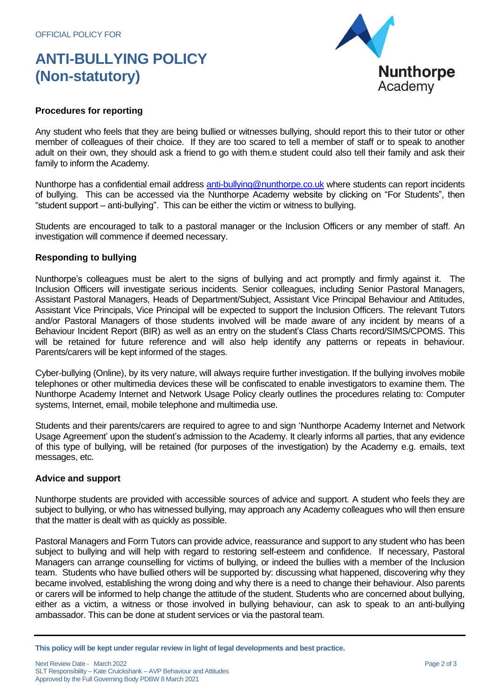# **ANTI-BULLYING POLICY (Non-statutory)**



## **Procedures for reporting**

Any student who feels that they are being bullied or witnesses bullying, should report this to their tutor or other member of colleagues of their choice. If they are too scared to tell a member of staff or to speak to another adult on their own, they should ask a friend to go with them.e student could also tell their family and ask their family to inform the Academy.

Nunthorpe has a confidential email address [anti-bullying@nunthorpe.co.uk](../../../../../Documents%20and%20Settings/djeffery/Local%20Settings/Temporary%20Internet%20Files/Content.Outlook/10OQ26LJ/anti-bullying@nunthorpe.co.uk) where students can report incidents of bullying. This can be accessed via the Nunthorpe Academy website by clicking on "For Students", then "student support – anti-bullying". This can be either the victim or witness to bullying.

Students are encouraged to talk to a pastoral manager or the Inclusion Officers or any member of staff. An investigation will commence if deemed necessary.

#### **Responding to bullying**

Nunthorpe's colleagues must be alert to the signs of bullying and act promptly and firmly against it. The Inclusion Officers will investigate serious incidents. Senior colleagues, including Senior Pastoral Managers, Assistant Pastoral Managers, Heads of Department/Subject, Assistant Vice Principal Behaviour and Attitudes, Assistant Vice Principals, Vice Principal will be expected to support the Inclusion Officers. The relevant Tutors and/or Pastoral Managers of those students involved will be made aware of any incident by means of a Behaviour Incident Report (BIR) as well as an entry on the student's Class Charts record/SIMS/CPOMS. This will be retained for future reference and will also help identify any patterns or repeats in behaviour. Parents/carers will be kept informed of the stages.

Cyber-bullying (Online), by its very nature, will always require further investigation. If the bullying involves mobile telephones or other multimedia devices these will be confiscated to enable investigators to examine them. The Nunthorpe Academy Internet and Network Usage Policy clearly outlines the procedures relating to: Computer systems, Internet, email, mobile telephone and multimedia use.

Students and their parents/carers are required to agree to and sign 'Nunthorpe Academy Internet and Network Usage Agreement' upon the student's admission to the Academy. It clearly informs all parties, that any evidence of this type of bullying, will be retained (for purposes of the investigation) by the Academy e.g. emails, text messages, etc.

#### **Advice and support**

Nunthorpe students are provided with accessible sources of advice and support. A student who feels they are subject to bullying, or who has witnessed bullying, may approach any Academy colleagues who will then ensure that the matter is dealt with as quickly as possible.

Pastoral Managers and Form Tutors can provide advice, reassurance and support to any student who has been subject to bullying and will help with regard to restoring self-esteem and confidence. If necessary, Pastoral Managers can arrange counselling for victims of bullying, or indeed the bullies with a member of the Inclusion team. Students who have bullied others will be supported by: discussing what happened, discovering why they became involved, establishing the wrong doing and why there is a need to change their behaviour. Also parents or carers will be informed to help change the attitude of the student. Students who are concerned about bullying, either as a victim, a witness or those involved in bullying behaviour, can ask to speak to an anti-bullying ambassador. This can be done at student services or via the pastoral team.

**This policy will be kept under regular review in light of legal developments and best practice.**